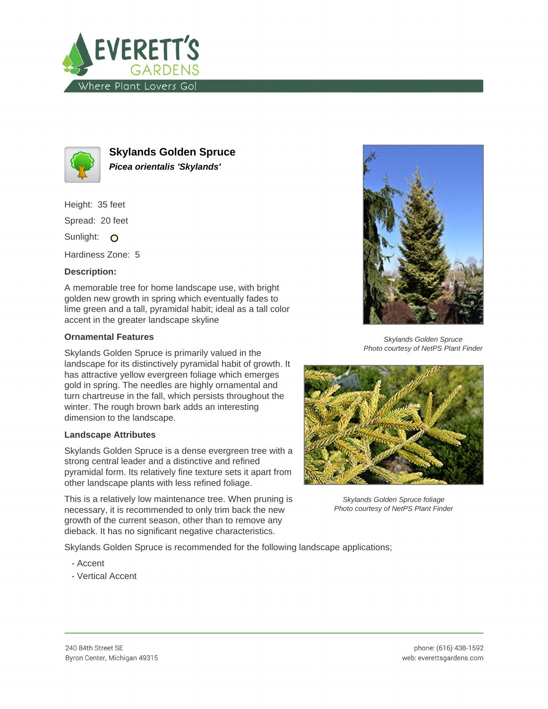



**Skylands Golden Spruce Picea orientalis 'Skylands'**

Height: 35 feet

Spread: 20 feet

Sunlight: O

Hardiness Zone: 5

## **Description:**

A memorable tree for home landscape use, with bright golden new growth in spring which eventually fades to lime green and a tall, pyramidal habit; ideal as a tall color accent in the greater landscape skyline

## **Ornamental Features**

Skylands Golden Spruce is primarily valued in the landscape for its distinctively pyramidal habit of growth. It has attractive yellow evergreen foliage which emerges gold in spring. The needles are highly ornamental and turn chartreuse in the fall, which persists throughout the winter. The rough brown bark adds an interesting dimension to the landscape.

## **Landscape Attributes**

Skylands Golden Spruce is a dense evergreen tree with a strong central leader and a distinctive and refined pyramidal form. Its relatively fine texture sets it apart from other landscape plants with less refined foliage.

This is a relatively low maintenance tree. When pruning is necessary, it is recommended to only trim back the new growth of the current season, other than to remove any dieback. It has no significant negative characteristics.

Skylands Golden Spruce is recommended for the following landscape applications;

- Accent
- Vertical Accent



Skylands Golden Spruce Photo courtesy of NetPS Plant Finder



Skylands Golden Spruce foliage Photo courtesy of NetPS Plant Finder